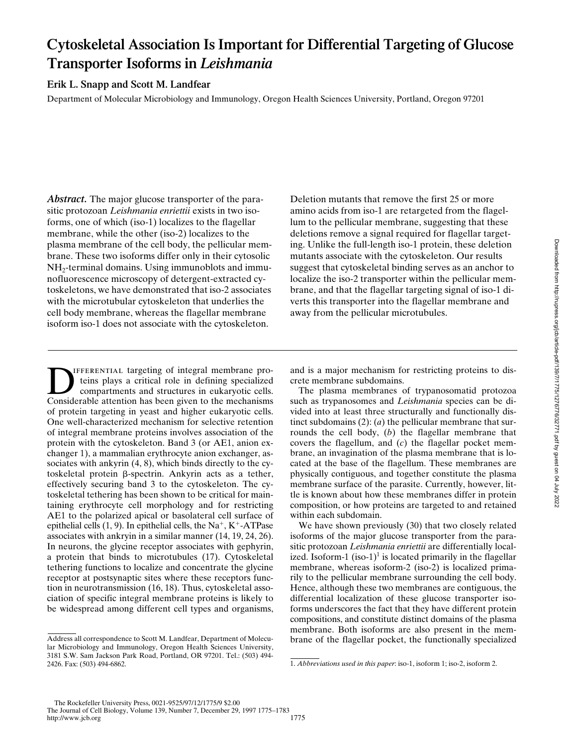# **Cytoskeletal Association Is Important for Differential Targeting of Glucose Transporter Isoforms in** *Leishmania*

**Erik L. Snapp and Scott M. Landfear**

Department of Molecular Microbiology and Immunology, Oregon Health Sciences University, Portland, Oregon 97201

*Abstract.* The major glucose transporter of the parasitic protozoan *Leishmania enriettii* exists in two isoforms, one of which (iso-1) localizes to the flagellar membrane, while the other (iso-2) localizes to the plasma membrane of the cell body, the pellicular membrane. These two isoforms differ only in their cytosolic NH<sub>2</sub>-terminal domains. Using immunoblots and immunofluorescence microscopy of detergent-extracted cytoskeletons, we have demonstrated that iso-2 associates with the microtubular cytoskeleton that underlies the cell body membrane, whereas the flagellar membrane isoform iso-1 does not associate with the cytoskeleton.

Deletion mutants that remove the first 25 or more amino acids from iso-1 are retargeted from the flagellum to the pellicular membrane, suggesting that these deletions remove a signal required for flagellar targeting. Unlike the full-length iso-1 protein, these deletion mutants associate with the cytoskeleton. Our results suggest that cytoskeletal binding serves as an anchor to localize the iso-2 transporter within the pellicular membrane, and that the flagellar targeting signal of iso-1 diverts this transporter into the flagellar membrane and away from the pellicular microtubules.

**EXEMPLARE SERVE AND SERVE ARE SERVE AT A SERVE AND SERVE A CONSIDENT AND SERVE A CONSIDENT AND SURFACE A CONSIDENT AND SERVE A CONSIDENT AND SERVE A CONSIDENT AND SERVE A CONSIDENT AND SERVE A CONSIDENT AND SERVE A CONSID** teins plays a critical role in defining specialized compartments and structures in eukaryotic cells. Considerable attention has been given to the mechanisms of protein targeting in yeast and higher eukaryotic cells. One well-characterized mechanism for selective retention of integral membrane proteins involves association of the protein with the cytoskeleton. Band 3 (or AE1, anion exchanger 1), a mammalian erythrocyte anion exchanger, associates with ankyrin (4, 8), which binds directly to the cytoskeletal protein b-spectrin. Ankyrin acts as a tether, effectively securing band 3 to the cytoskeleton. The cytoskeletal tethering has been shown to be critical for maintaining erythrocyte cell morphology and for restricting AE1 to the polarized apical or basolateral cell surface of epithelial cells  $(1, 9)$ . In epithelial cells, the Na<sup>+</sup>, K<sup>+</sup>-ATPase associates with ankryin in a similar manner (14, 19, 24, 26). In neurons, the glycine receptor associates with gephyrin, a protein that binds to microtubules (17). Cytoskeletal tethering functions to localize and concentrate the glycine receptor at postsynaptic sites where these receptors function in neurotransmission (16, 18). Thus, cytoskeletal association of specific integral membrane proteins is likely to be widespread among different cell types and organisms,

and is a major mechanism for restricting proteins to discrete membrane subdomains.

The plasma membranes of trypanosomatid protozoa such as trypanosomes and *Leishmania* species can be divided into at least three structurally and functionally distinct subdomains (2): (*a*) the pellicular membrane that surrounds the cell body, (*b*) the flagellar membrane that covers the flagellum, and (*c*) the flagellar pocket membrane, an invagination of the plasma membrane that is located at the base of the flagellum. These membranes are physically contiguous, and together constitute the plasma membrane surface of the parasite. Currently, however, little is known about how these membranes differ in protein composition, or how proteins are targeted to and retained within each subdomain.

We have shown previously (30) that two closely related isoforms of the major glucose transporter from the parasitic protozoan *Leishmania enriettii* are differentially localized. Isoform-1 (iso-1)<sup>1</sup> is located primarily in the flagellar membrane, whereas isoform-2 (iso-2) is localized primarily to the pellicular membrane surrounding the cell body. Hence, although these two membranes are contiguous, the differential localization of these glucose transporter isoforms underscores the fact that they have different protein compositions, and constitute distinct domains of the plasma membrane. Both isoforms are also present in the membrane of the flagellar pocket, the functionally specialized

Address all correspondence to Scott M. Landfear, Department of Molecular Microbiology and Immunology, Oregon Health Sciences University, 3181 S.W. Sam Jackson Park Road, Portland, OR 97201. Tel.: (503) 494- 2426. Fax: (503) 494-6862.

<sup>1.</sup> *Abbreviations used in this paper*: iso-1, isoform 1; iso-2, isoform 2.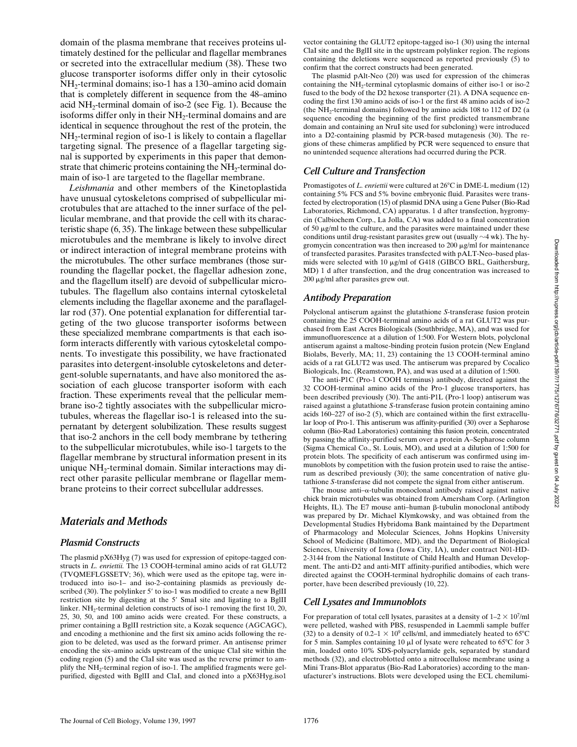domain of the plasma membrane that receives proteins ultimately destined for the pellicular and flagellar membranes or secreted into the extracellular medium (38). These two glucose transporter isoforms differ only in their cytosolic NH2-terminal domains; iso-1 has a 130–amino acid domain that is completely different in sequence from the 48–amino acid NH2-terminal domain of iso-2 (see Fig. 1). Because the isoforms differ only in their NH<sub>2</sub>-terminal domains and are identical in sequence throughout the rest of the protein, the NH<sub>2</sub>-terminal region of iso-1 is likely to contain a flagellar targeting signal. The presence of a flagellar targeting signal is supported by experiments in this paper that demonstrate that chimeric proteins containing the  $NH<sub>2</sub>$ -terminal domain of iso-1 are targeted to the flagellar membrane.

*Leishmania* and other members of the Kinetoplastida have unusual cytoskeletons comprised of subpellicular microtubules that are attached to the inner surface of the pellicular membrane, and that provide the cell with its characteristic shape (6, 35). The linkage between these subpellicular microtubules and the membrane is likely to involve direct or indirect interaction of integral membrane proteins with the microtubules. The other surface membranes (those surrounding the flagellar pocket, the flagellar adhesion zone, and the flagellum itself) are devoid of subpellicular microtubules. The flagellum also contains internal cytoskeletal elements including the flagellar axoneme and the paraflagellar rod (37). One potential explanation for differential targeting of the two glucose transporter isoforms between these specialized membrane compartments is that each isoform interacts differently with various cytoskeletal components. To investigate this possibility, we have fractionated parasites into detergent-insoluble cytoskeletons and detergent-soluble supernatants, and have also monitored the association of each glucose transporter isoform with each fraction. These experiments reveal that the pellicular membrane iso-2 tightly associates with the subpellicular microtubules, whereas the flagellar iso-1 is released into the supernatant by detergent solubilization. These results suggest that iso-2 anchors in the cell body membrane by tethering to the subpellicular microtubules, while iso-1 targets to the flagellar membrane by structural information present in its unique NH<sub>2</sub>-terminal domain. Similar interactions may direct other parasite pellicular membrane or flagellar membrane proteins to their correct subcellular addresses.

# *Materials and Methods*

#### *Plasmid Constructs*

The plasmid pX63Hyg (7) was used for expression of epitope-tagged constructs in *L. enriettii.* The 13 COOH-terminal amino acids of rat GLUT2 (TVQMEFLGSSETV; 36), which were used as the epitope tag, were introduced into iso-1– and iso-2–containing plasmids as previously described (30). The polylinker  $5'$  to iso-1 was modified to create a new BgIII restriction site by digesting at the 5' SmaI site and ligating to a BglII linker. NH<sub>2</sub>-terminal deletion constructs of iso-1 removing the first 10, 20, 25, 30, 50, and 100 amino acids were created. For these constructs, a primer containing a BglII restriction site, a Kozak sequence (AGCAGC), and encoding a methionine and the first six amino acids following the region to be deleted, was used as the forward primer. An antisense primer encoding the six–amino acids upstream of the unique ClaI site within the coding region (5) and the ClaI site was used as the reverse primer to amplify the NH<sub>2</sub>-terminal region of iso-1. The amplified fragments were gelpurified, digested with BglII and ClaI, and cloned into a pX63Hyg.iso1

vector containing the GLUT2 epitope-tagged iso-1 (30) using the internal ClaI site and the BglII site in the upstream polylinker region. The regions containing the deletions were sequenced as reported previously (5) to confirm that the correct constructs had been generated.

The plasmid pAlt-Neo (20) was used for expression of the chimeras containing the  $NH<sub>2</sub>$ -terminal cytoplasmic domains of either iso-1 or iso-2 fused to the body of the D2 hexose transporter (21). A DNA sequence encoding the first 130 amino acids of iso-1 or the first 48 amino acids of iso-2 (the NH<sub>2</sub>-terminal domains) followed by amino acids  $108$  to  $112$  of D2 (a sequence encoding the beginning of the first predicted transmembrane domain and containing an NruI site used for subcloning) were introduced into a D2-containing plasmid by PCR-based mutagenesis (30). The regions of these chimeras amplified by PCR were sequenced to ensure that no unintended sequence alterations had occurred during the PCR.

# *Cell Culture and Transfection*

Promastigotes of *L. enriettii* were cultured at 26°C in DME-L medium (12) containing 5% FCS and 5% bovine embryonic fluid. Parasites were transfected by electroporation (15) of plasmid DNA using a Gene Pulser (Bio-Rad Laboratories, Richmond, CA) apparatus. 1 d after transfection, hygromycin (Calbiochem Corp., La Jolla, CA) was added to a final concentration of 50  $\mu$ g/ml to the culture, and the parasites were maintained under these conditions until drug-resistant parasites grew out (usually  $\sim$ 4 wk). The hygromycin concentration was then increased to 200  $\mu$ g/ml for maintenance of transfected parasites. Parasites transfected with pALT-Neo–based plasmids were selected with 10 µg/ml of G418 (GIBCO BRL, Gaithersburg, MD) 1 d after transfection, and the drug concentration was increased to 200 mg/ml after parasites grew out.

# *Antibody Preparation*

Polyclonal antiserum against the glutathione *S*-transferase fusion protein containing the 25 COOH-terminal amino acids of a rat GLUT2 was purchased from East Acres Biologicals (Southbridge, MA), and was used for immunofluorescence at a dilution of 1:500. For Western blots, polyclonal antiserum against a maltose-binding protein fusion protein (New England Biolabs, Beverly, MA; 11, 23) containing the 13 COOH-terminal amino acids of a rat GLUT2 was used. The antiserum was prepared by Cocalico Biologicals, Inc. (Reamstown, PA), and was used at a dilution of 1:500.

The anti-P1C (Pro-1 COOH terminus) antibody, directed against the 32 COOH-terminal amino acids of the Pro-1 glucose transporters, has been described previously (30). The anti-P1L (Pro-1 loop) antiserum was raised against a glutathione *S*-transferase fusion protein containing amino acids 160–227 of iso-2 (5), which are contained within the first extracellular loop of Pro-1. This antiserum was affinity-purified (30) over a Sepharose column (Bio-Rad Laboratories) containing this fusion protein, concentrated by passing the affinity-purified serum over a protein A–Sepharose column (Sigma Chemical Co., St. Louis, MO), and used at a dilution of 1:500 for protein blots. The specificity of each antiserum was confirmed using immunoblots by competition with the fusion protein used to raise the antiserum as described previously (30); the same concentration of native glutathione *S*-transferase did not compete the signal from either antiserum.

The mouse anti- $\alpha$ -tubulin monoclonal antibody raised against native chick brain microtubules was obtained from Amersham Corp. (Arlington Heights, IL). The E7 mouse anti-human  $\beta$ -tubulin monoclonal antibody was prepared by Dr. Michael Klymkowsky, and was obtained from the Developmental Studies Hybridoma Bank maintained by the Department of Pharmacology and Molecular Sciences, Johns Hopkins University School of Medicine (Baltimore, MD), and the Department of Biological Sciences, University of Iowa (Iowa City, IA), under contract N01-HD-2-3144 from the National Institute of Child Health and Human Development. The anti-D2 and anti-MIT affinity-purified antibodies, which were directed against the COOH-terminal hydrophilic domains of each transporter, have been described previously (10, 22).

# *Cell Lysates and Immunoblots*

For preparation of total cell lysates, parasites at a density of  $1-2 \times 10^7$ /ml were pelleted, washed with PBS, resuspended in Laemmli sample buffer (32) to a density of  $0.2-1 \times 10^9$  cells/ml, and immediately heated to 65°C for 5 min. Samples containing 10  $\mu$ l of lysate were reheated to 65°C for 3 min, loaded onto 10% SDS-polyacrylamide gels, separated by standard methods (32), and electroblotted onto a nitrocellulose membrane using a Mini Trans-Blot apparatus (Bio-Rad Laboratories) according to the manufacturer's instructions. Blots were developed using the ECL chemilumi-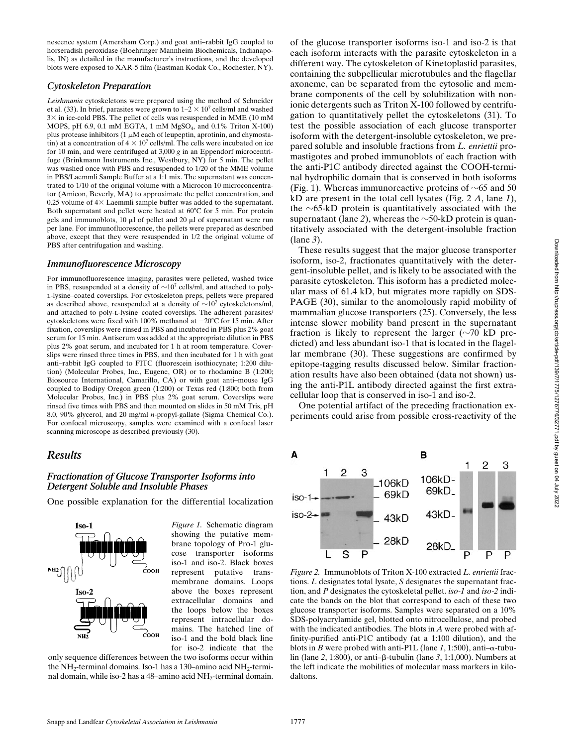nescence system (Amersham Corp.) and goat anti–rabbit IgG coupled to horseradish peroxidase (Boehringer Mannheim Biochemicals, Indianapolis, IN) as detailed in the manufacturer's instructions, and the developed blots were exposed to XAR-5 film (Eastman Kodak Co., Rochester, NY).

#### *Cytoskeleton Preparation*

*Leishmania* cytoskeletons were prepared using the method of Schneider et al. (33). In brief, parasites were grown to  $1-2 \times 10^7$  cells/ml and washed  $3\times$  in ice-cold PBS. The pellet of cells was resuspended in MME (10 mM MOPS, pH 6.9, 0.1 mM EGTA, 1 mM  $MgSO<sub>4</sub>$ , and 0.1% Triton X-100) plus protease inhibitors (1  $\mu$ M each of leupeptin, aprotinin, and chymostatin) at a concentration of  $4 \times 10^7$  cells/ml. The cells were incubated on ice for 10 min, and were centrifuged at 3,000 *g* in an Eppendorf microcentrifuge (Brinkmann Instruments Inc., Westbury, NY) for 5 min. The pellet was washed once with PBS and resuspended to 1/20 of the MME volume in PBS/Laemmli Sample Buffer at a 1:1 mix. The supernatant was concentrated to 1/10 of the original volume with a Microcon 10 microconcentrator (Amicon, Beverly, MA) to approximate the pellet concentration, and 0.25 volume of  $4\times$  Laemmli sample buffer was added to the supernatant. Both supernatant and pellet were heated at 60°C for 5 min. For protein gels and immunoblots,  $10 \mu l$  of pellet and  $20 \mu l$  of supernatant were run per lane. For immunofluorescence, the pellets were prepared as described above, except that they were resuspended in 1/2 the original volume of PBS after centrifugation and washing.

#### *Immunofluorescence Microscopy*

For immunofluorescence imaging, parasites were pelleted, washed twice in PBS, resuspended at a density of  $\sim 10^7$  cells/ml, and attached to polyl-lysine–coated coverslips. For cytoskeleton preps, pellets were prepared as described above, resuspended at a density of  $\sim 10^7$  cytoskeletons/ml, and attached to poly-l-lysine–coated coverslips. The adherent parasites/ cytoskeletons were fixed with 100% methanol at  $-20^{\circ}$ C for 15 min. After fixation, coverslips were rinsed in PBS and incubated in PBS plus 2% goat serum for 15 min. Antiserum was added at the appropriate dilution in PBS plus 2% goat serum, and incubated for 1 h at room temperature. Coverslips were rinsed three times in PBS, and then incubated for 1 h with goat anti–rabbit IgG coupled to FITC (fluorescein isothiocynate; 1:200 dilution) (Molecular Probes, Inc., Eugene, OR) or to rhodamine B (1:200; Biosource International, Camarillo, CA) or with goat anti–mouse IgG coupled to Bodipy Oregon green (1:200) or Texas red (1:800; both from Molecular Probes, Inc.) in PBS plus 2% goat serum. Coverslips were rinsed five times with PBS and then mounted on slides in 50 mM Tris, pH 8.0, 90% glycerol, and 20 mg/ml *n*-propyl-gallate (Sigma Chemical Co.). For confocal microscopy, samples were examined with a confocal laser scanning microscope as described previously (30).

# *Results*

#### *Fractionation of Glucose Transporter Isoforms into Detergent Soluble and Insoluble Phases*

One possible explanation for the differential localization



*Figure 1.* Schematic diagram showing the putative membrane topology of Pro-1 glucose transporter isoforms iso-1 and iso-2. Black boxes represent putative transmembrane domains. Loops above the boxes represent extracellular domains and the loops below the boxes represent intracellular domains. The hatched line of iso-1 and the bold black line for iso-2 indicate that the

only sequence differences between the two isoforms occur within the  $NH_2$ -terminal domains. Iso-1 has a 130–amino acid  $NH_2$ -terminal domain, while iso-2 has a 48–amino acid NH<sub>2</sub>-terminal domain. of the glucose transporter isoforms iso-1 and iso-2 is that each isoform interacts with the parasite cytoskeleton in a different way. The cytoskeleton of Kinetoplastid parasites, containing the subpellicular microtubules and the flagellar axoneme, can be separated from the cytosolic and membrane components of the cell by solubilization with nonionic detergents such as Triton X-100 followed by centrifugation to quantitatively pellet the cytoskeletons (31). To test the possible association of each glucose transporter isoform with the detergent-insoluble cytoskeleton, we prepared soluble and insoluble fractions from *L. enriettii* promastigotes and probed immunoblots of each fraction with the anti-P1C antibody directed against the COOH-terminal hydrophilic domain that is conserved in both isoforms (Fig. 1). Whereas immunoreactive proteins of  $\sim 65$  and 50 kD are present in the total cell lysates (Fig. 2 *A*, lane *1*), the  $\sim$ 65-kD protein is quantitatively associated with the supernatant (lane 2), whereas the  $\sim$ 50-kD protein is quantitatively associated with the detergent-insoluble fraction (lane *3*).

These results suggest that the major glucose transporter isoform, iso-2, fractionates quantitatively with the detergent-insoluble pellet, and is likely to be associated with the parasite cytoskeleton. This isoform has a predicted molecular mass of 61.4 kD, but migrates more rapidly on SDS-PAGE (30), similar to the anomolously rapid mobility of mammalian glucose transporters (25). Conversely, the less intense slower mobility band present in the supernatant fraction is likely to represent the larger  $(\sim 70 \text{ kD})$  predicted) and less abundant iso-1 that is located in the flagellar membrane (30). These suggestions are confirmed by epitope-tagging results discussed below. Similar fractionation results have also been obtained (data not shown) using the anti-P1L antibody directed against the first extracellular loop that is conserved in iso-1 and iso-2.

One potential artifact of the preceding fractionation experiments could arise from possible cross-reactivity of the



*Figure 2.* Immunoblots of Triton X-100 extracted *L. enriettii* fractions. *L* designates total lysate, *S* designates the supernatant fraction, and *P* designates the cytoskeletal pellet. *iso-1* and *iso-2* indicate the bands on the blot that correspond to each of these two glucose transporter isoforms. Samples were separated on a 10% SDS-polyacrylamide gel, blotted onto nitrocellulose, and probed with the indicated antibodies. The blots in *A* were probed with affinity-purified anti-P1C antibody (at a 1:100 dilution), and the blots in *B* were probed with anti-P1L (lane 1, 1:500), anti- $\alpha$ -tubulin (lane 2, 1:800), or anti-β-tubulin (lane 3, 1:1,000). Numbers at the left indicate the mobilities of molecular mass markers in kilodaltons.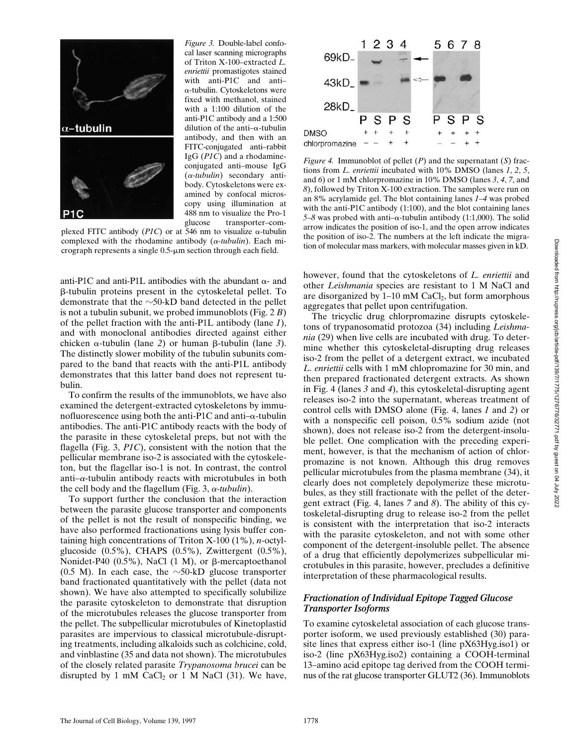

*Figure 3.* Double-label confocal laser scanning micrographs of Triton X-100–extracted *L. enriettii* promastigotes stained with anti-P1C and anti– a-tubulin. Cytoskeletons were fixed with methanol, stained with a 1:100 dilution of the anti-P1C antibody and a 1:500 dilution of the anti- $\alpha$ -tubulin antibody, and then with an FITC-conjugated anti–rabbit IgG (*P1C*) and a rhodamineconjugated anti–mouse IgG (a*-tubulin*) secondary antibody. Cytoskeletons were examined by confocal microscopy using illumination at 488 nm to visualize the Pro-1 glucose transporter–com-

plexed FITC antibody (*P1C*) or at 546 nm to visualize  $\alpha$ -tubulin complexed with the rhodamine antibody  $(\alpha$ -tubulin). Each micrograph represents a single  $0.5$ - $\mu$ m section through each field.

anti-P1C and anti-P1L antibodies with the abundant  $\alpha$ - and b-tubulin proteins present in the cytoskeletal pellet. To demonstrate that the  $\sim$ 50-kD band detected in the pellet is not a tubulin subunit, we probed immunoblots (Fig. 2 *B*) of the pellet fraction with the anti-P1L antibody (lane *1*), and with monoclonal antibodies directed against either chicken  $\alpha$ -tubulin (lane 2) or human  $\beta$ -tubulin (lane 3). The distinctly slower mobility of the tubulin subunits compared to the band that reacts with the anti-P1L antibody demonstrates that this latter band does not represent tubulin.

To confirm the results of the immunoblots, we have also examined the detergent-extracted cytoskeletons by immunofluorescence using both the anti-P1C and anti- $\alpha$ -tubulin antibodies. The anti-P1C antibody reacts with the body of the parasite in these cytoskeletal preps, but not with the flagella (Fig. 3, *P1C*), consistent with the notion that the pellicular membrane iso-2 is associated with the cytoskeleton, but the flagellar iso-1 is not. In contrast, the control anti- $\alpha$ -tubulin antibody reacts with microtubules in both the cell body and the flagellum (Fig.  $3$ ,  $\alpha$ -tubulin).

To support further the conclusion that the interaction between the parasite glucose transporter and components of the pellet is not the result of nonspecific binding, we have also performed fractionations using lysis buffer containing high concentrations of Triton X-100 (1%), *n*-octylglucoside (0.5%), CHAPS (0.5%), Zwittergent (0.5%), Nonidet-P40  $(0.5\%)$ , NaCl  $(1 \text{ M})$ , or  $\beta$ -mercaptoethanol (0.5 M). In each case, the  $\sim$ 50-kD glucose transporter band fractionated quantitatively with the pellet (data not shown). We have also attempted to specifically solubilize the parasite cytoskeleton to demonstrate that disruption of the microtubules releases the glucose transporter from the pellet. The subpellicular microtubules of Kinetoplastid parasites are impervious to classical microtubule-disrupting treatments, including alkaloids such as colchicine, cold, and vinblastine (35 and data not shown). The microtubules of the closely related parasite *Trypanosoma brucei* can be disrupted by 1 mM  $CaCl<sub>2</sub>$  or 1 M NaCl (31). We have,



*Figure 4.* Immunoblot of pellet (*P*) and the supernatant (*S*) fractions from *L. enriettii* incubated with 10% DMSO (lanes *1*, *2*, *5*, and *6*) or 1 mM chlorpromazine in 10% DMSO (lanes *3*, *4*, *7*, and *8*), followed by Triton X-100 extraction. The samples were run on an 8% acrylamide gel. The blot containing lanes *1–4* was probed with the anti-P1C antibody (1:100), and the blot containing lanes 5–8 was probed with anti– $\alpha$ -tubulin antibody (1:1,000). The solid arrow indicates the position of iso-1, and the open arrow indicates the position of iso-2. The numbers at the left indicate the migration of molecular mass markers, with molecular masses given in kD.

however, found that the cytoskeletons of *L. enriettii* and other *Leishmania* species are resistant to 1 M NaCl and are disorganized by  $1-10$  mM CaCl<sub>2</sub>, but form amorphous aggregates that pellet upon centrifugation.

The tricyclic drug chlorpromazine disrupts cytoskeletons of trypanosomatid protozoa (34) including *Leishmania* (29) when live cells are incubated with drug. To determine whether this cytoskeletal-disrupting drug releases iso-2 from the pellet of a detergent extract, we incubated *L. enriettii* cells with 1 mM chlopromazine for 30 min, and then prepared fractionated detergent extracts. As shown in Fig. 4 (lanes *3* and *4*), this cytoskeletal-disrupting agent releases iso-2 into the supernatant, whereas treatment of control cells with DMSO alone (Fig. 4, lanes *1* and *2*) or with a nonspecific cell poison, 0.5% sodium azide (not shown), does not release iso-2 from the detergent-insoluble pellet. One complication with the preceding experiment, however, is that the mechanism of action of chlorpromazine is not known. Although this drug removes pellicular microtubules from the plasma membrane (34), it clearly does not completely depolymerize these microtubules, as they still fractionate with the pellet of the detergent extract (Fig. 4, lanes *7* and *8*). The ability of this cytoskeletal-disrupting drug to release iso-2 from the pellet is consistent with the interpretation that iso-2 interacts with the parasite cytoskeleton, and not with some other component of the detergent-insoluble pellet. The absence of a drug that efficiently depolymerizes subpellicular microtubules in this parasite, however, precludes a definitive interpretation of these pharmacological results.

#### *Fractionation of Individual Epitope Tagged Glucose Transporter Isoforms*

To examine cytoskeletal association of each glucose transporter isoform, we used previously established (30) parasite lines that express either iso-1 (line pX63Hyg.iso1) or iso-2 (line pX63Hyg.iso2) containing a COOH-terminal 13–amino acid epitope tag derived from the COOH terminus of the rat glucose transporter GLUT2 (36). Immunoblots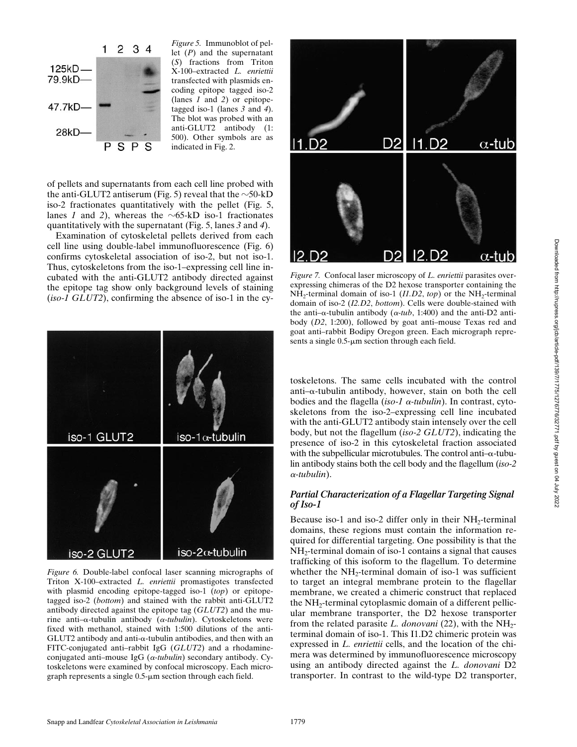

*Figure 5.* Immunoblot of pellet (*P*) and the supernatant (*S*) fractions from Triton X-100–extracted *L. enriettii* transfected with plasmids encoding epitope tagged iso-2 (lanes *1* and *2*) or epitopetagged iso-1 (lanes *3* and *4*). The blot was probed with an anti-GLUT2 antibody (1: 500). Other symbols are as indicated in Fig. 2.

of pellets and supernatants from each cell line probed with the anti-GLUT2 antiserum (Fig. 5) reveal that the  $\sim$ 50-kD iso-2 fractionates quantitatively with the pellet (Fig. 5, lanes *1* and 2), whereas the  $\sim$ 65-kD iso-1 fractionates quantitatively with the supernatant (Fig. 5, lanes *3* and *4*).

Examination of cytoskeletal pellets derived from each cell line using double-label immunofluorescence (Fig. 6) confirms cytoskeletal association of iso-2, but not iso-1. Thus, cytoskeletons from the iso-1–expressing cell line incubated with the anti-GLUT2 antibody directed against the epitope tag show only background levels of staining (*iso-1 GLUT2*), confirming the absence of iso-1 in the cy-



*Figure 6.* Double-label confocal laser scanning micrographs of Triton X-100–extracted *L. enriettii* promastigotes transfected with plasmid encoding epitope-tagged iso-1 (*top*) or epitopetagged iso-2 (*bottom*) and stained with the rabbit anti-GLUT2 antibody directed against the epitope tag (*GLUT2*) and the murine anti–a-tubulin antibody (a*-tubulin*). Cytoskeletons were fixed with methanol, stained with 1:500 dilutions of the anti-GLUT2 antibody and anti-a-tubulin antibodies, and then with an FITC-conjugated anti–rabbit IgG (*GLUT2*) and a rhodamineconjugated anti–mouse IgG (a*-tubulin*) secondary antibody. Cytoskeletons were examined by confocal microscopy. Each micrograph represents a single  $0.5$ - $\mu$ m section through each field.



*Figure 7.* Confocal laser microscopy of *L. enriettii* parasites overexpressing chimeras of the D2 hexose transporter containing the  $NH_2$ -terminal domain of iso-1 (*I1.D2, top*) or the  $NH_2$ -terminal domain of iso-2 (*I2.D2*, *bottom*). Cells were double-stained with the anti– $\alpha$ -tubulin antibody ( $\alpha$ -tub, 1:400) and the anti-D2 antibody (*D2*, 1:200), followed by goat anti–mouse Texas red and goat anti–rabbit Bodipy Oregon green. Each micrograph represents a single  $0.5$ - $\mu$ m section through each field.

toskeletons. The same cells incubated with the control anti– $\alpha$ -tubulin antibody, however, stain on both the cell bodies and the flagella (*iso-1* a*-tubulin*). In contrast, cytoskeletons from the iso-2–expressing cell line incubated with the anti-GLUT2 antibody stain intensely over the cell body, but not the flagellum (*iso-2 GLUT2*), indicating the presence of iso-2 in this cytoskeletal fraction associated with the subpellicular microtubules. The control anti- $\alpha$ -tubulin antibody stains both the cell body and the flagellum (*iso-2* <sup>a</sup>*-tubulin*).

# *Partial Characterization of a Flagellar Targeting Signal of Iso-1*

Because iso-1 and iso-2 differ only in their NH<sub>2</sub>-terminal domains, these regions must contain the information required for differential targeting. One possibility is that the  $NH<sub>2</sub>$ -terminal domain of iso-1 contains a signal that causes trafficking of this isoform to the flagellum. To determine whether the  $NH_2$ -terminal domain of iso-1 was sufficient to target an integral membrane protein to the flagellar membrane, we created a chimeric construct that replaced the NH<sub>2</sub>-terminal cytoplasmic domain of a different pellicular membrane transporter, the D2 hexose transporter from the related parasite *L. donovani* (22), with the  $NH<sub>2</sub>$ terminal domain of iso-1. This I1.D2 chimeric protein was expressed in *L. enriettii* cells, and the location of the chimera was determined by immunofluorescence microscopy using an antibody directed against the *L. donovani* D2 transporter. In contrast to the wild-type D2 transporter,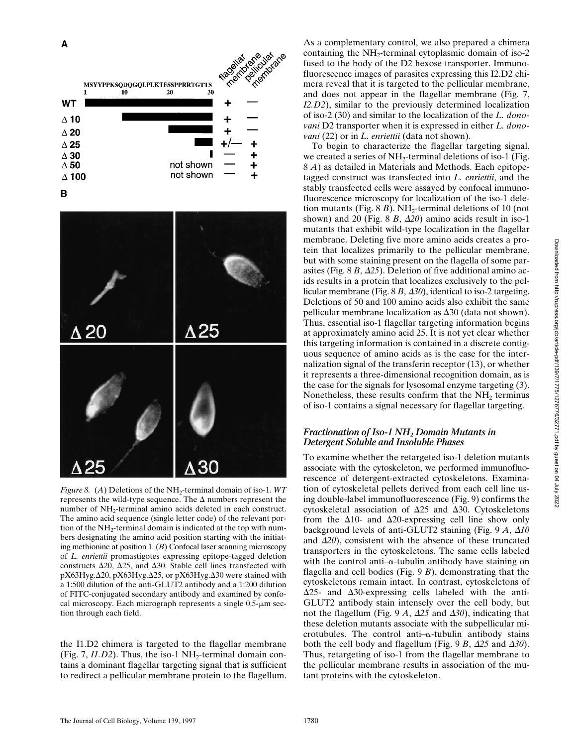





*Figure 8.* (*A*) Deletions of the NH<sub>2</sub>-terminal domain of iso-1. *WT* represents the wild-type sequence. The  $\Delta$  numbers represent the number of  $NH_2$ -terminal amino acids deleted in each construct. The amino acid sequence (single letter code) of the relevant portion of the  $NH<sub>2</sub>$ -terminal domain is indicated at the top with numbers designating the amino acid position starting with the initiating methionine at position 1. (*B*) Confocal laser scanning microscopy of *L. enriettii* promastigotes expressing epitope-tagged deletion constructs  $\Delta 20$ ,  $\Delta 25$ , and  $\Delta 30$ . Stable cell lines transfected with pX63Hyg.Δ20, pX63Hyg.Δ25, or pX63Hyg.Δ30 were stained with a 1:500 dilution of the anti-GLUT2 antibody and a 1:200 dilution of FITC-conjugated secondary antibody and examined by confocal microscopy. Each micrograph represents a single  $0.5$ - $\mu$ m section through each field.

the I1.D2 chimera is targeted to the flagellar membrane (Fig.  $7, I1.D2$ ). Thus, the iso-1 NH<sub>2</sub>-terminal domain contains a dominant flagellar targeting signal that is sufficient to redirect a pellicular membrane protein to the flagellum.

As a complementary control, we also prepared a chimera containing the  $NH_2$ -terminal cytoplasmic domain of iso-2 fused to the body of the D2 hexose transporter. Immunofluorescence images of parasites expressing this I2.D2 chimera reveal that it is targeted to the pellicular membrane, and does not appear in the flagellar membrane (Fig. 7, *I2.D2*), similar to the previously determined localization of iso-2 (30) and similar to the localization of the *L. donovani* D2 transporter when it is expressed in either *L. donovani* (22) or in *L. enriettii* (data not shown).

To begin to characterize the flagellar targeting signal, we created a series of  $NH<sub>2</sub>$ -terminal deletions of iso-1 (Fig. 8 *A*) as detailed in Materials and Methods. Each epitopetagged construct was transfected into *L. enriettii*, and the stably transfected cells were assayed by confocal immunofluorescence microscopy for localization of the iso-1 deletion mutants (Fig.  $8B$ ). NH<sub>2</sub>-terminal deletions of 10 (not shown) and 20 (Fig.  $8 B$ ,  $\Delta 20$ ) amino acids result in iso-1 mutants that exhibit wild-type localization in the flagellar membrane. Deleting five more amino acids creates a protein that localizes primarily to the pellicular membrane, but with some staining present on the flagella of some parasites (Fig.  $8B$ ,  $\Delta$ 25). Deletion of five additional amino acids results in a protein that localizes exclusively to the pellicular membrane (Fig.  $8B$ ,  $\Delta 30$ ), identical to iso-2 targeting. Deletions of 50 and 100 amino acids also exhibit the same pellicular membrane localization as  $\Delta 30$  (data not shown). Thus, essential iso-1 flagellar targeting information begins at approximately amino acid 25. It is not yet clear whether this targeting information is contained in a discrete contiguous sequence of amino acids as is the case for the internalization signal of the transferin receptor (13), or whether it represents a three-dimensional recognition domain, as is the case for the signals for lysosomal enzyme targeting (3). Nonetheless, these results confirm that the  $NH<sub>2</sub>$  terminus of iso-1 contains a signal necessary for flagellar targeting.

# *Fractionation of Iso-1 NH2 Domain Mutants in Detergent Soluble and Insoluble Phases*

To examine whether the retargeted iso-1 deletion mutants associate with the cytoskeleton, we performed immunofluorescence of detergent-extracted cytoskeletons. Examination of cytoskeletal pellets derived from each cell line using double-label immunofluorescence (Fig. 9) confirms the cytoskeletal association of  $\Delta 25$  and  $\Delta 30$ . Cytoskeletons from the  $\Delta$ 10- and  $\Delta$ 20-expressing cell line show only background levels of anti-GLUT2 staining (Fig. 9 *A*,  $\Delta 10$ and  $\Delta 20$ ), consistent with the absence of these truncated transporters in the cytoskeletons. The same cells labeled with the control anti- $\alpha$ -tubulin antibody have staining on flagella and cell bodies (Fig. 9 *B*), demonstrating that the cytoskeletons remain intact. In contrast, cytoskeletons of  $\Delta$ 25- and  $\Delta$ 30-expressing cells labeled with the anti-GLUT2 antibody stain intensely over the cell body, but not the flagellum (Fig. 9  $A$ ,  $\Delta$ 25 and  $\Delta$ *30*), indicating that these deletion mutants associate with the subpellicular microtubules. The control anti- $\alpha$ -tubulin antibody stains both the cell body and flagellum (Fig. 9 *B*,  $\Delta$ 25 and  $\Delta$ 30). Thus, retargeting of iso-1 from the flagellar membrane to the pellicular membrane results in association of the mutant proteins with the cytoskeleton.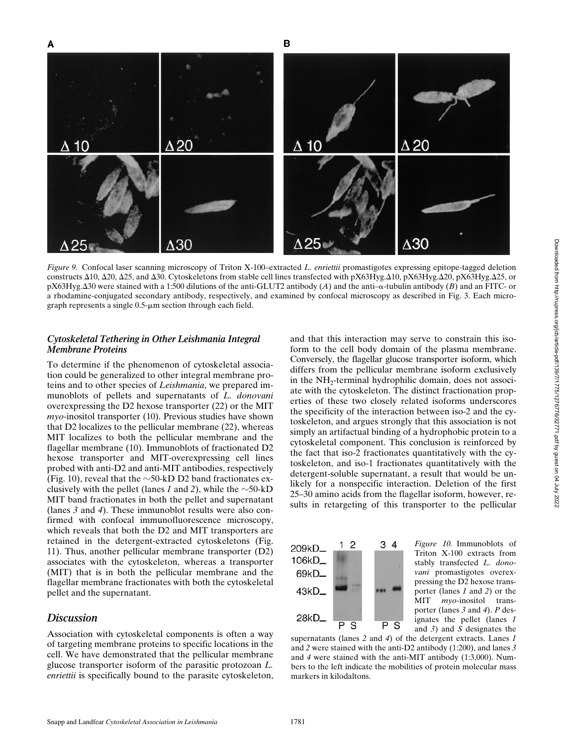

*Figure 9.* Confocal laser scanning microscopy of Triton X-100–extracted *L. enriettii* promastigotes expressing epitope-tagged deletion constructs  $\Delta$ 10,  $\Delta$ 20,  $\Delta$ 25, and  $\Delta$ 30. Cytoskeletons from stable cell lines transfected with pX63Hyg. $\Delta$ 10, pX63Hyg. $\Delta$ 20, pX63Hyg. $\Delta$ 25, or  $pX63Hyg.430$  were stained with a 1:500 dilutions of the anti-GLUT2 antibody (*A*) and the anti- $\alpha$ -tubulin antibody (*B*) and an FITC- or a rhodamine-conjugated secondary antibody, respectively, and examined by confocal microscopy as described in Fig. 3. Each micrograph represents a single  $0.5$ - $\mu$ m section through each field.

#### *Cytoskeletal Tethering in Other Leishmania Integral Membrane Proteins*

To determine if the phenomenon of cytoskeletal association could be generalized to other integral membrane proteins and to other species of *Leishmania*, we prepared immunoblots of pellets and supernatants of *L. donovani* overexpressing the D2 hexose transporter (22) or the MIT *myo*-inositol transporter (10). Previous studies have shown that D2 localizes to the pellicular membrane (22), whereas MIT localizes to both the pellicular membrane and the flagellar membrane (10). Immunoblots of fractionated D2 hexose transporter and MIT-overexpressing cell lines probed with anti-D2 and anti-MIT antibodies, respectively (Fig. 10), reveal that the  $\sim$ 50-kD D2 band fractionates exclusively with the pellet (lanes *1* and *2*), while the  $\sim$ 50-kD MIT band fractionates in both the pellet and supernatant (lanes *3* and *4*). These immunoblot results were also confirmed with confocal immunofluorescence microscopy, which reveals that both the D2 and MIT transporters are retained in the detergent-extracted cytoskeletons (Fig. 11). Thus, another pellicular membrane transporter (D2) associates with the cytoskeleton, whereas a transporter (MIT) that is in both the pellicular membrane and the flagellar membrane fractionates with both the cytoskeletal pellet and the supernatant.

#### *Discussion*

Association with cytoskeletal components is often a way of targeting membrane proteins to specific locations in the cell. We have demonstrated that the pellicular membrane glucose transporter isoform of the parasitic protozoan *L. enriettii* is specifically bound to the parasite cytoskeleton, and that this interaction may serve to constrain this isoform to the cell body domain of the plasma membrane. Conversely, the flagellar glucose transporter isoform, which differs from the pellicular membrane isoform exclusively in the NH<sub>2</sub>-terminal hydrophilic domain, does not associate with the cytoskeleton. The distinct fractionation properties of these two closely related isoforms underscores the specificity of the interaction between iso-2 and the cytoskeleton, and argues strongly that this association is not simply an artifactual binding of a hydrophobic protein to a cytoskeletal component. This conclusion is reinforced by the fact that iso-2 fractionates quantitatively with the cytoskeleton, and iso-1 fractionates quantitatively with the detergent-soluble supernatant, a result that would be unlikely for a nonspecific interaction. Deletion of the first 25–30 amino acids from the flagellar isoform, however, results in retargeting of this transporter to the pellicular



*Figure 10.* Immunoblots of Triton X-100 extracts from stably transfected *L. donovani* promastigotes overexpressing the D2 hexose transporter (lanes *1* and *2*) or the MIT *myo*-inositol transporter (lanes *3* and *4*). *P* designates the pellet (lanes *1* and *3*) and *S* designates the

supernatants (lanes *2* and *4*) of the detergent extracts. Lanes *1* and *2* were stained with the anti-D2 antibody (1:200), and lanes *3* and *4* were stained with the anti-MIT antibody (1:3,000). Numbers to the left indicate the mobilities of protein molecular mass markers in kilodaltons.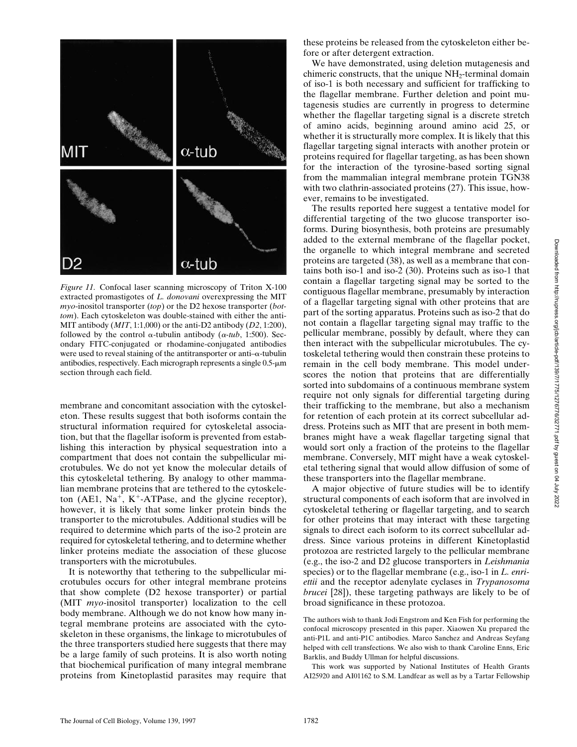

*Figure 11.* Confocal laser scanning microscopy of Triton X-100 extracted promastigotes of *L. donovani* overexpressing the MIT *myo*-inositol transporter (*top*) or the D2 hexose transporter (*bottom*). Each cytoskeleton was double-stained with either the anti-MIT antibody (*MIT*, 1:1,000) or the anti-D2 antibody (*D2*, 1:200), followed by the control  $\alpha$ -tubulin antibody ( $\alpha$ -tub, 1:500). Secondary FITC-conjugated or rhodamine-conjugated antibodies were used to reveal staining of the antitransporter or anti–a-tubulin antibodies, respectively. Each micrograph represents a single 0.5- $\mu$ m section through each field.

membrane and concomitant association with the cytoskeleton. These results suggest that both isoforms contain the structural information required for cytoskeletal association, but that the flagellar isoform is prevented from establishing this interaction by physical sequestration into a compartment that does not contain the subpellicular microtubules. We do not yet know the molecular details of this cytoskeletal tethering. By analogy to other mammalian membrane proteins that are tethered to the cytoskeleton (AE1,  $Na^+$ , K<sup>+</sup>-ATPase, and the glycine receptor), however, it is likely that some linker protein binds the transporter to the microtubules. Additional studies will be required to determine which parts of the iso-2 protein are required for cytoskeletal tethering, and to determine whether linker proteins mediate the association of these glucose transporters with the microtubules.

It is noteworthy that tethering to the subpellicular microtubules occurs for other integral membrane proteins that show complete (D2 hexose transporter) or partial (MIT *myo*-inositol transporter) localization to the cell body membrane. Although we do not know how many integral membrane proteins are associated with the cytoskeleton in these organisms, the linkage to microtubules of the three transporters studied here suggests that there may be a large family of such proteins. It is also worth noting that biochemical purification of many integral membrane proteins from Kinetoplastid parasites may require that these proteins be released from the cytoskeleton either before or after detergent extraction.

We have demonstrated, using deletion mutagenesis and chimeric constructs, that the unique  $NH<sub>2</sub>$ -terminal domain of iso-1 is both necessary and sufficient for trafficking to the flagellar membrane. Further deletion and point mutagenesis studies are currently in progress to determine whether the flagellar targeting signal is a discrete stretch of amino acids, beginning around amino acid 25, or whether it is structurally more complex. It is likely that this flagellar targeting signal interacts with another protein or proteins required for flagellar targeting, as has been shown for the interaction of the tyrosine-based sorting signal from the mammalian integral membrane protein TGN38 with two clathrin-associated proteins (27). This issue, however, remains to be investigated.

The results reported here suggest a tentative model for differential targeting of the two glucose transporter isoforms. During biosynthesis, both proteins are presumably added to the external membrane of the flagellar pocket, the organelle to which integral membrane and secreted proteins are targeted (38), as well as a membrane that contains both iso-1 and iso-2 (30). Proteins such as iso-1 that contain a flagellar targeting signal may be sorted to the contiguous flagellar membrane, presumably by interaction of a flagellar targeting signal with other proteins that are part of the sorting apparatus. Proteins such as iso-2 that do not contain a flagellar targeting signal may traffic to the pellicular membrane, possibly by default, where they can then interact with the subpellicular microtubules. The cytoskeletal tethering would then constrain these proteins to remain in the cell body membrane. This model underscores the notion that proteins that are differentially sorted into subdomains of a continuous membrane system require not only signals for differential targeting during their trafficking to the membrane, but also a mechanism for retention of each protein at its correct subcellular address. Proteins such as MIT that are present in both membranes might have a weak flagellar targeting signal that would sort only a fraction of the proteins to the flagellar membrane. Conversely, MIT might have a weak cytoskeletal tethering signal that would allow diffusion of some of these transporters into the flagellar membrane.

A major objective of future studies will be to identify structural components of each isoform that are involved in cytoskeletal tethering or flagellar targeting, and to search for other proteins that may interact with these targeting signals to direct each isoform to its correct subcellular address. Since various proteins in different Kinetoplastid protozoa are restricted largely to the pellicular membrane (e.g., the iso-2 and D2 glucose transporters in *Leishmania* species) or to the flagellar membrane (e.g., iso-1 in *L. enriettii* and the receptor adenylate cyclases in *Trypanosoma brucei* [28]), these targeting pathways are likely to be of broad significance in these protozoa.

The authors wish to thank Jodi Engstrom and Ken Fish for performing the confocal microscopy presented in this paper. Xiaowen Xu prepared the anti-P1L and anti-P1C antibodies. Marco Sanchez and Andreas Seyfang helped with cell transfections. We also wish to thank Caroline Enns, Eric Barklis, and Buddy Ullman for helpful discussions.

This work was supported by National Institutes of Health Grants AI25920 and AI01162 to S.M. Landfear as well as by a Tartar Fellowship